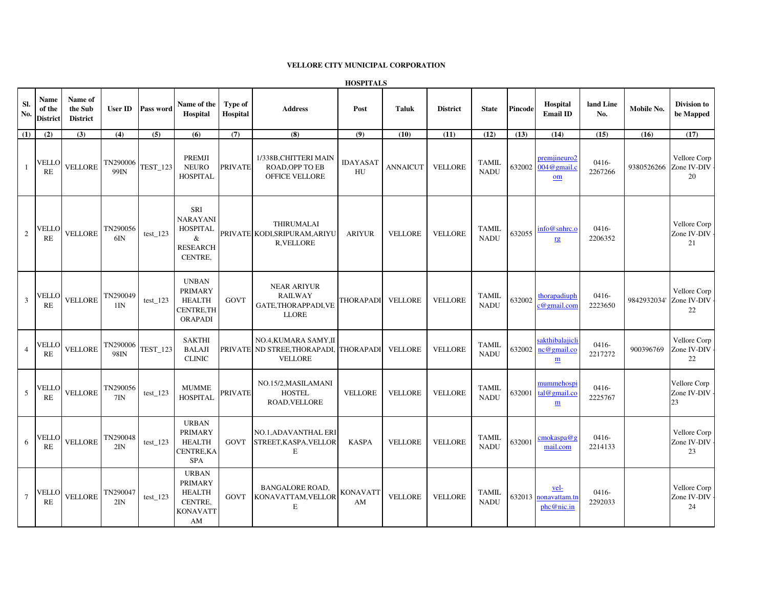## **VELLORE CITY MUNICIPAL CORPORATION**

**HOSPITALS**

| Sl.<br>No.      | Name<br>of the<br><b>District</b> | Name of<br>the Sub<br><b>District</b> | <b>User ID</b>              | Pass word  | Name of the<br>Hospital                                                                    | Type of<br>Hospital | <b>Address</b>                                                                            | Post                  | <b>Taluk</b>    | <b>District</b> | <b>State</b>                | <b>Pincode</b> | Hospital<br><b>Email ID</b>                               | land Line<br>No.   | Mobile No.  | Division to<br>be Mapped                      |
|-----------------|-----------------------------------|---------------------------------------|-----------------------------|------------|--------------------------------------------------------------------------------------------|---------------------|-------------------------------------------------------------------------------------------|-----------------------|-----------------|-----------------|-----------------------------|----------------|-----------------------------------------------------------|--------------------|-------------|-----------------------------------------------|
| (1)             | (2)                               | (3)                                   | (4)                         | (5)        | (6)                                                                                        | (7)                 | (8)                                                                                       | (9)                   | (10)            | (11)            | (12)                        | (13)           | (14)                                                      | (15)               | (16)        | (17)                                          |
| 1               | VELLO<br>RE                       | VELLORE                               | TN290006<br>99IN            | TEST_123   | PREMJI<br><b>NEURO</b><br><b>HOSPITAL</b>                                                  | <b>PRIVATE</b>      | 1/338B, CHITTERI MAIN<br><b>ROAD.OPP TO EB</b><br>OFFICE VELLORE                          | <b>IDAYASAT</b><br>HU | <b>ANNAICUT</b> | <b>VELLORE</b>  | <b>TAMIL</b><br><b>NADU</b> |                | premjineuro2<br>632002 004@gmail.c<br>om                  | 0416-<br>2267266   |             | Vellore Corp<br>9380526266 Zone IV-DIV-<br>20 |
| 2               | /ELLO<br>RE                       | VELLORE                               | TN290056<br>$6I$ N          | $test_123$ | <b>SRI</b><br><b>NARAYANI</b><br><b>HOSPITAL</b><br>&<br><b>RESEARCH</b><br><b>CENTRE.</b> |                     | THIRUMALAI<br>PRIVATE KODI, SRIPURAM, ARIYU<br><b>R.VELLORE</b>                           | <b>ARIYUR</b>         | <b>VELLORE</b>  | <b>VELLORE</b>  | <b>TAMIL</b><br><b>NADU</b> | 632055         | info@snhrc.o<br>rg                                        | 0416-<br>2206352   |             | Vellore Corp<br>Zone IV-DIV -<br>21           |
| $\overline{3}$  | VELLO<br>RE                       | <b>VELLORE</b>                        | TN290049<br>1 <sub>IN</sub> | test 123   | <b>UNBAN</b><br><b>PRIMARY</b><br><b>HEALTH</b><br>CENTRE, TH<br><b>ORAPADI</b>            | <b>GOVT</b>         | <b>NEAR ARIYUR</b><br><b>RAILWAY</b><br>GATE, THORAPPADI, VE<br><b>LLORE</b>              | THORAPADI VELLORE     |                 | <b>VELLORE</b>  | <b>TAMIL</b><br><b>NADU</b> | 632002         | thorapadiuph<br>$c@$ gmail.con                            | 0416-<br>2223650   | 9842932034' | Vellore Corp<br>Zone IV-DIV -<br>22           |
| $\overline{4}$  | VELLO<br><b>RE</b>                | VELLORE                               | TN290006<br>98IN            | TEST_123   | <b>SAKTHI</b><br><b>BALAJI</b><br><b>CLINIC</b>                                            |                     | NO.4, KUMARA SAMY, II<br>PRIVATE ND STREE, THORAPADI, THORAPADI VELLORE<br><b>VELLORE</b> |                       |                 | <b>VELLORE</b>  | <b>TAMIL</b><br><b>NADU</b> | 632002         | sakthibalajich<br>nc@gmail.co<br>$\underline{\mathbf{m}}$ | 0416-<br>2217272   | 900396769   | Vellore Corp<br>Zone IV-DIV -<br>22           |
| 5               | <b>ELLO</b><br>RE                 | <b>VELLORE</b>                        | TN290056<br>7I <sub>N</sub> | $test_123$ | <b>MUMME</b><br><b>HOSPITAL</b>                                                            | <b>PRIVATE</b>      | NO.15/2, MASILAMANI<br><b>HOSTEL</b><br><b>ROAD, VELLORE</b>                              | <b>VELLORE</b>        | <b>VELLORE</b>  | <b>VELLORE</b>  | <b>TAMIL</b><br><b>NADU</b> | 632001         | mummehospi<br>tal@gmail.co<br>$\underline{m}$             | $0416-$<br>2225767 |             | Vellore Corp<br>Zone IV-DIV -<br>23           |
| 6               | VELLO<br>RE                       | <b>VELLORE</b>                        | TN290048<br>2IN             | $test_123$ | <b>URBAN</b><br><b>PRIMARY</b><br><b>HEALTH</b><br>CENTRE, KA<br><b>SPA</b>                | GOVT                | <b>NO.1.ADAVANTHAL ERI</b><br>STREET, KASPA, VELLOR<br>Ε                                  | <b>KASPA</b>          | <b>VELLORE</b>  | <b>VELLORE</b>  | <b>TAMIL</b><br><b>NADU</b> | 632001         | cmokaspa@g<br>mail.com                                    | 0416-<br>2214133   |             | Vellore Corp<br>Zone IV-DIV -<br>23           |
| $7\phantom{.0}$ | VELLO<br>RE                       | <b>VELLORE</b>                        | TN290047<br>2IN             | $test_123$ | <b>URBAN</b><br><b>PRIMARY</b><br><b>HEALTH</b><br>CENTRE,<br><b>KONAVATT</b><br>AM        |                     | <b>BANGALORE ROAD,</b><br>GOVT KONAVATTAM, VELLOR<br>E                                    | <b>KONAVATT</b><br>AM | <b>VELLORE</b>  | <b>VELLORE</b>  | <b>TAMIL</b><br><b>NADU</b> |                | <u>vel-</u><br>632013 nonavattam.tn<br>phc@nic.in         | 0416-<br>2292033   |             | Vellore Corp<br>Zone IV-DIV -<br>24           |